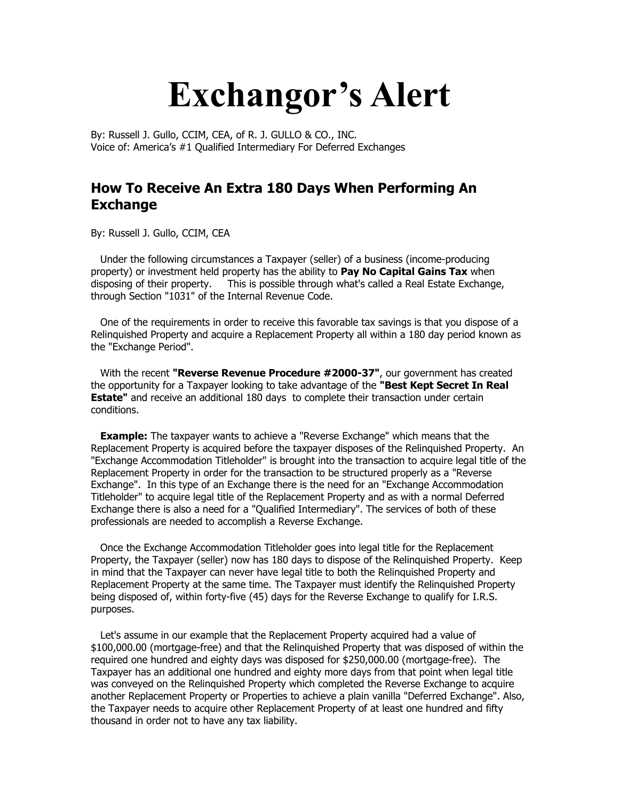## **Exchangor's Alert**

By: Russell J. Gullo, CCIM, CEA, of R. J. GULLO & CO., INC. Voice of: America's #1 Qualified Intermediary For Deferred Exchanges

## **How To Receive An Extra 180 Days When Performing An Exchange**

By: Russell J. Gullo, CCIM, CEA

 Under the following circumstances a Taxpayer (seller) of a business (income-producing property) or investment held property has the ability to **Pay No Capital Gains Tax** when disposing of their property. This is possible through what's called a Real Estate Exchange, through Section "1031" of the Internal Revenue Code.

 One of the requirements in order to receive this favorable tax savings is that you dispose of a Relinquished Property and acquire a Replacement Property all within a 180 day period known as the "Exchange Period".

 With the recent **"Reverse Revenue Procedure #2000-37"**, our government has created the opportunity for a Taxpayer looking to take advantage of the **"Best Kept Secret In Real Estate"** and receive an additional 180 days to complete their transaction under certain conditions.

 **Example:** The taxpayer wants to achieve a "Reverse Exchange" which means that the Replacement Property is acquired before the taxpayer disposes of the Relinquished Property. An "Exchange Accommodation Titleholder" is brought into the transaction to acquire legal title of the Replacement Property in order for the transaction to be structured properly as a "Reverse Exchange". In this type of an Exchange there is the need for an "Exchange Accommodation Titleholder" to acquire legal title of the Replacement Property and as with a normal Deferred Exchange there is also a need for a "Qualified Intermediary". The services of both of these professionals are needed to accomplish a Reverse Exchange.

 Once the Exchange Accommodation Titleholder goes into legal title for the Replacement Property, the Taxpayer (seller) now has 180 days to dispose of the Relinquished Property. Keep in mind that the Taxpayer can never have legal title to both the Relinquished Property and Replacement Property at the same time. The Taxpayer must identify the Relinquished Property being disposed of, within forty-five (45) days for the Reverse Exchange to qualify for I.R.S. purposes.

 Let's assume in our example that the Replacement Property acquired had a value of \$100,000.00 (mortgage-free) and that the Relinquished Property that was disposed of within the required one hundred and eighty days was disposed for \$250,000.00 (mortgage-free). The Taxpayer has an additional one hundred and eighty more days from that point when legal title was conveyed on the Relinquished Property which completed the Reverse Exchange to acquire another Replacement Property or Properties to achieve a plain vanilla "Deferred Exchange". Also, the Taxpayer needs to acquire other Replacement Property of at least one hundred and fifty thousand in order not to have any tax liability.